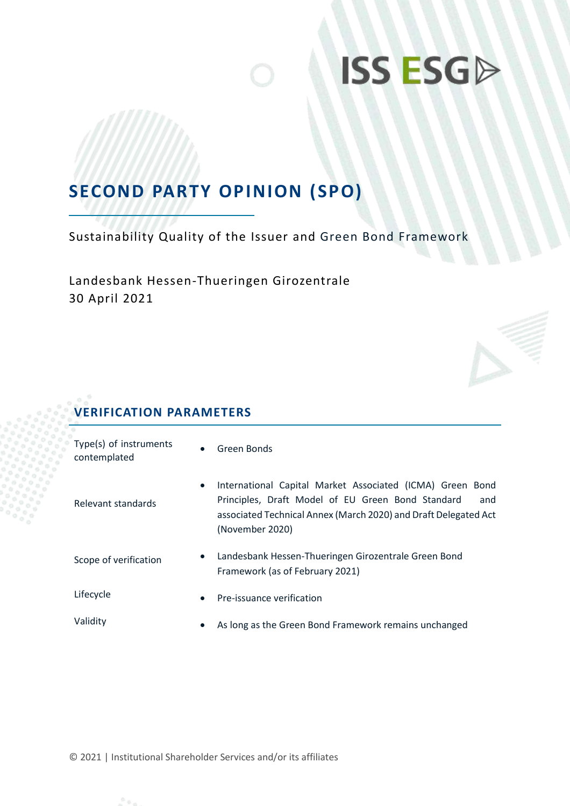## **SECOND PARTY OPINION (SPO)**

Sustainability Quality of the Issuer and Green Bond Framework

Landesbank Hessen-Thueringen Girozentrale 30 April 2021

### **VERIFICATION PARAMETERS**

| Type(s) of instruments<br>contemplated | $\bullet$ | Green Bonds                                                                                                                                                                                                 |
|----------------------------------------|-----------|-------------------------------------------------------------------------------------------------------------------------------------------------------------------------------------------------------------|
| Relevant standards                     | $\bullet$ | International Capital Market Associated (ICMA) Green Bond<br>Principles, Draft Model of EU Green Bond Standard<br>and<br>associated Technical Annex (March 2020) and Draft Delegated Act<br>(November 2020) |
| Scope of verification                  | $\bullet$ | Landesbank Hessen-Thueringen Girozentrale Green Bond<br>Framework (as of February 2021)                                                                                                                     |
| Lifecycle                              | $\bullet$ | Pre-issuance verification                                                                                                                                                                                   |
| Validity                               | $\bullet$ | As long as the Green Bond Framework remains unchanged                                                                                                                                                       |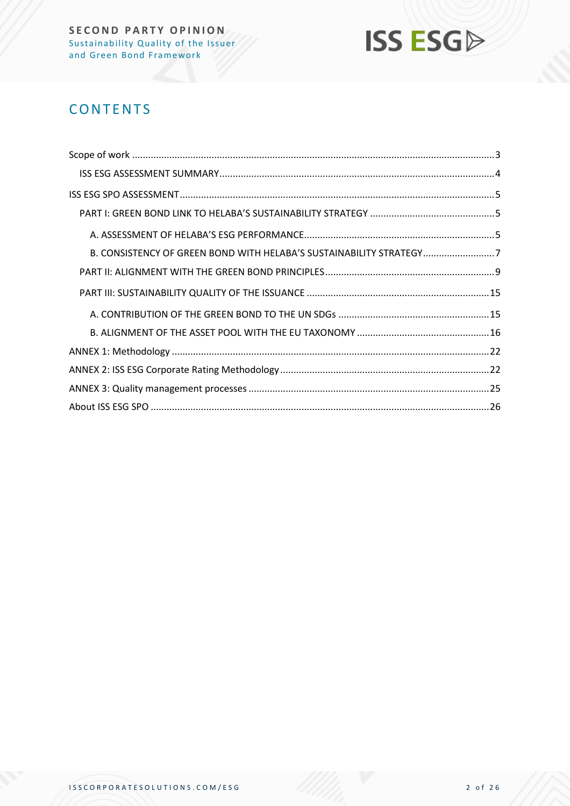

## **CONTENTS**

| B. CONSISTENCY OF GREEN BOND WITH HELABA'S SUSTAINABILITY STRATEGY7 |  |
|---------------------------------------------------------------------|--|
|                                                                     |  |
|                                                                     |  |
|                                                                     |  |
|                                                                     |  |
|                                                                     |  |
|                                                                     |  |
|                                                                     |  |
|                                                                     |  |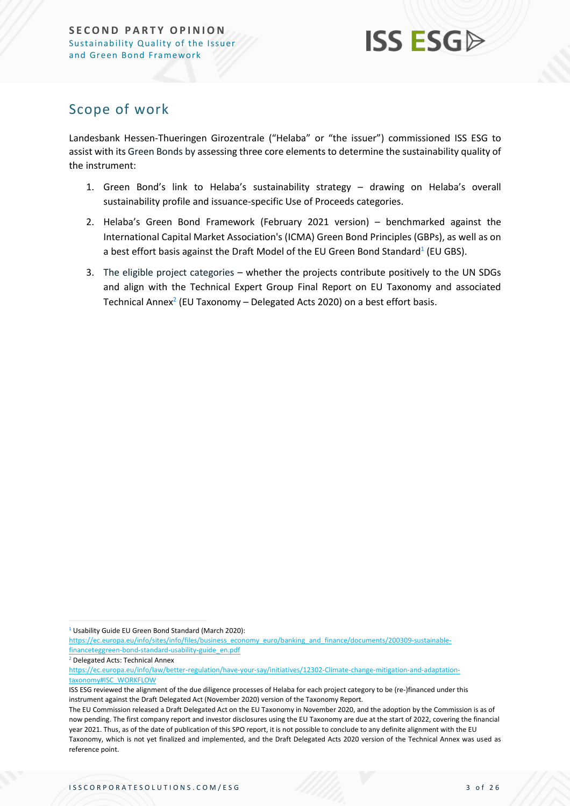## <span id="page-2-0"></span>Scope of work

Landesbank Hessen-Thueringen Girozentrale ("Helaba" or "the issuer") commissioned ISS ESG to assist with its Green Bonds by assessing three core elements to determine the sustainability quality of the instrument:

- 1. Green Bond's link to Helaba's sustainability strategy drawing on Helaba's overall sustainability profile and issuance-specific Use of Proceeds categories.
- 2. Helaba's Green Bond Framework (February 2021 version) benchmarked against the International Capital Market Association's (ICMA) Green Bond Principles (GBPs), as well as on a best effort basis against the Draft Model of the EU Green Bond Standard $^1$  (EU GBS).
- 3. The eligible project categories whether the projects contribute positively to the UN SDGs and align with the Technical Expert Group Final Report on EU Taxonomy and associated Technical Annex<sup>2</sup> (EU Taxonomy – Delegated Acts 2020) on a best effort basis.

<sup>1</sup> Usability Guide EU Green Bond Standard (March 2020):

[https://ec.europa.eu/info/sites/info/files/business\\_economy\\_euro/banking\\_and\\_finance/documents/200309-sustainable](https://ec.europa.eu/info/sites/info/files/business_economy_euro/banking_and_finance/documents/200309-sustainable-financeteggreen-bond-standard-usability-guide_en.pdf)[financeteggreen-bond-standard-usability-guide\\_en.pdf](https://ec.europa.eu/info/sites/info/files/business_economy_euro/banking_and_finance/documents/200309-sustainable-financeteggreen-bond-standard-usability-guide_en.pdf)

<sup>2</sup> Delegated Acts: Technical Annex

[https://ec.europa.eu/info/law/better-regulation/have-your-say/initiatives/12302-Climate-change-mitigation-and-adaptation](https://ec.europa.eu/info/law/better-regulation/have-your-say/initiatives/12302-Climate-change-mitigation-and-adaptation-taxonomy#ISC_WORKFLOW)[taxonomy#ISC\\_WORKFLOW](https://ec.europa.eu/info/law/better-regulation/have-your-say/initiatives/12302-Climate-change-mitigation-and-adaptation-taxonomy#ISC_WORKFLOW)

ISS ESG reviewed the alignment of the due diligence processes of Helaba for each project category to be (re-)financed under this instrument against the Draft Delegated Act (November 2020) version of the Taxonomy Report.

The EU Commission released a Draft Delegated Act on the EU Taxonomy in November 2020, and the adoption by the Commission is as of now pending. The first company report and investor disclosures using the EU Taxonomy are due at the start of 2022, covering the financial year 2021. Thus, as of the date of publication of this SPO report, it is not possible to conclude to any definite alignment with the EU Taxonomy, which is not yet finalized and implemented, and the Draft Delegated Acts 2020 version of the Technical Annex was used as reference point.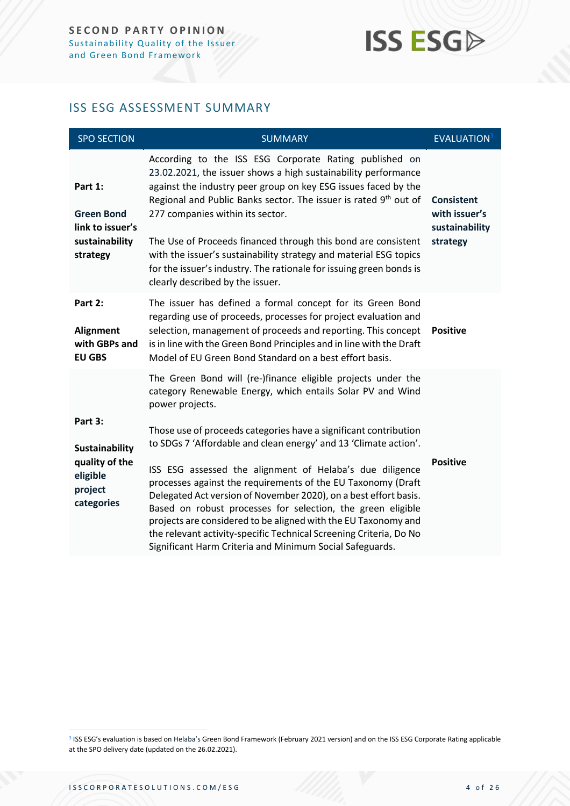#### <span id="page-3-0"></span>ISS ESG ASSESSMENT SUMMARY

| <b>SPO SECTION</b>                                                                      | <b>SUMMARY</b>                                                                                                                                                                                                                                                                                                                                                                                                                                                                                                                                                                                                                                                                                                                                           | <b>EVALUATION3</b>                                               |
|-----------------------------------------------------------------------------------------|----------------------------------------------------------------------------------------------------------------------------------------------------------------------------------------------------------------------------------------------------------------------------------------------------------------------------------------------------------------------------------------------------------------------------------------------------------------------------------------------------------------------------------------------------------------------------------------------------------------------------------------------------------------------------------------------------------------------------------------------------------|------------------------------------------------------------------|
| Part 1:<br><b>Green Bond</b><br>link to issuer's<br>sustainability<br>strategy          | According to the ISS ESG Corporate Rating published on<br>23.02.2021, the issuer shows a high sustainability performance<br>against the industry peer group on key ESG issues faced by the<br>Regional and Public Banks sector. The issuer is rated 9th out of<br>277 companies within its sector.<br>The Use of Proceeds financed through this bond are consistent<br>with the issuer's sustainability strategy and material ESG topics<br>for the issuer's industry. The rationale for issuing green bonds is<br>clearly described by the issuer.                                                                                                                                                                                                      | <b>Consistent</b><br>with issuer's<br>sustainability<br>strategy |
| Part 2:<br><b>Alignment</b><br>with GBPs and<br><b>EU GBS</b>                           | The issuer has defined a formal concept for its Green Bond<br>regarding use of proceeds, processes for project evaluation and<br>selection, management of proceeds and reporting. This concept<br>is in line with the Green Bond Principles and in line with the Draft<br>Model of EU Green Bond Standard on a best effort basis.                                                                                                                                                                                                                                                                                                                                                                                                                        | <b>Positive</b>                                                  |
| Part 3:<br><b>Sustainability</b><br>quality of the<br>eligible<br>project<br>categories | The Green Bond will (re-)finance eligible projects under the<br>category Renewable Energy, which entails Solar PV and Wind<br>power projects.<br>Those use of proceeds categories have a significant contribution<br>to SDGs 7 'Affordable and clean energy' and 13 'Climate action'.<br>ISS ESG assessed the alignment of Helaba's due diligence<br>processes against the requirements of the EU Taxonomy (Draft<br>Delegated Act version of November 2020), on a best effort basis.<br>Based on robust processes for selection, the green eligible<br>projects are considered to be aligned with the EU Taxonomy and<br>the relevant activity-specific Technical Screening Criteria, Do No<br>Significant Harm Criteria and Minimum Social Safeguards. | <b>Positive</b>                                                  |

<sup>3</sup> ISS ESG's evaluation is based on Helaba's Green Bond Framework (February 2021 version) and on the ISS ESG Corporate Rating applicable at the SPO delivery date (updated on the 26.02.2021).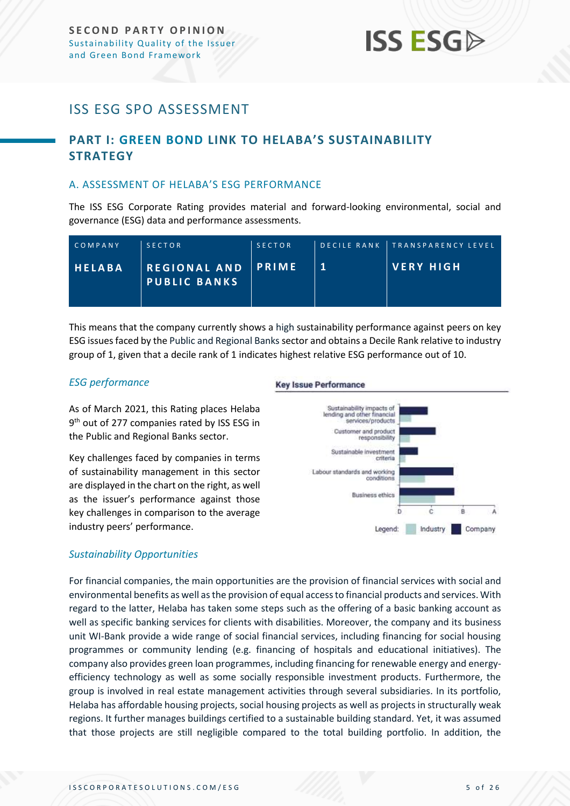### <span id="page-4-0"></span>ISS ESG SPO ASSESSMENT

### <span id="page-4-1"></span>**PART I: GREEN BOND LINK TO HELABA'S SUSTAINABILITY STRATEGY**

#### <span id="page-4-2"></span>A. ASSESSMENT OF HELABA'S ESG PERFORMANCE

The ISS ESG Corporate Rating provides material and forward-looking environmental, social and governance (ESG) data and performance assessments.

| COMPANY | <b>SECTOR</b>                              | <b>SECTOR</b> |              | DECILE RANK TRANSPARENCY LEVEL |
|---------|--------------------------------------------|---------------|--------------|--------------------------------|
| HELABA  | <b>REGIONAL AND</b><br><b>PUBLIC BANKS</b> | PRIME         | $\mathbf{1}$ | <b>VERY HIGH</b>               |

This means that the company currently shows a high sustainability performance against peers on key ESG issues faced by the Public and Regional Banks sector and obtains a Decile Rank relative to industry group of 1, given that a decile rank of 1 indicates highest relative ESG performance out of 10.

#### *ESG performance*

As of March 2021, this Rating places Helaba 9<sup>th</sup> out of 277 companies rated by ISS ESG in the Public and Regional Banks sector.

Key challenges faced by companies in terms of sustainability management in this sector are displayed in the chart on the right, as well as the issuer's performance against those key challenges in comparison to the average industry peers' performance.

#### **Key Issue Performance**



#### *Sustainability Opportunities*

For financial companies, the main opportunities are the provision of financial services with social and environmental benefits as well as the provision of equal access to financial products and services. With regard to the latter, Helaba has taken some steps such as the offering of a basic banking account as well as specific banking services for clients with disabilities. Moreover, the company and its business unit WI-Bank provide a wide range of social financial services, including financing for social housing programmes or community lending (e.g. financing of hospitals and educational initiatives). The company also provides green loan programmes, including financing for renewable energy and energyefficiency technology as well as some socially responsible investment products. Furthermore, the group is involved in real estate management activities through several subsidiaries. In its portfolio, Helaba has affordable housing projects, social housing projects as well as projects in structurally weak regions. It further manages buildings certified to a sustainable building standard. Yet, it was assumed that those projects are still negligible compared to the total building portfolio. In addition, the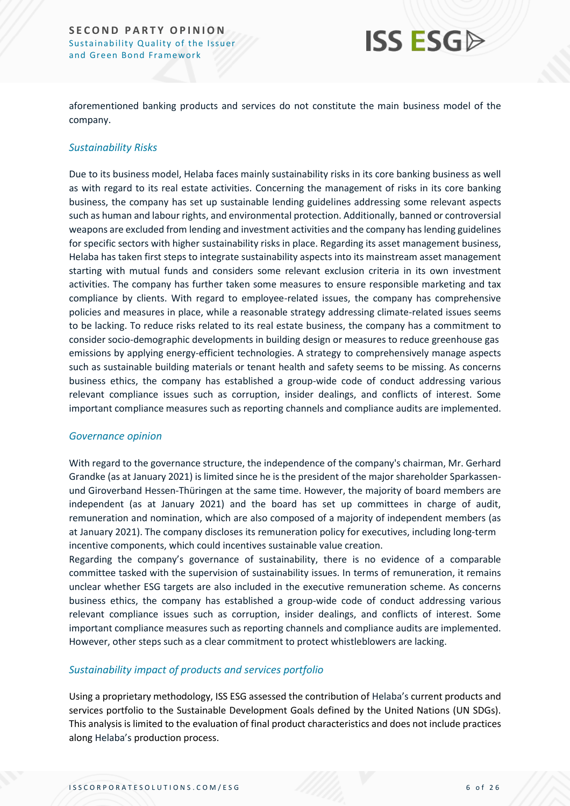## **ISS ESG**

aforementioned banking products and services do not constitute the main business model of the company.

#### *Sustainability Risks*

Due to its business model, Helaba faces mainly sustainability risks in its core banking business as well as with regard to its real estate activities. Concerning the management of risks in its core banking business, the company has set up sustainable lending guidelines addressing some relevant aspects such as human and labour rights, and environmental protection. Additionally, banned or controversial weapons are excluded from lending and investment activities and the company has lending guidelines for specific sectors with higher sustainability risks in place. Regarding its asset management business, Helaba has taken first steps to integrate sustainability aspects into its mainstream asset management starting with mutual funds and considers some relevant exclusion criteria in its own investment activities. The company has further taken some measures to ensure responsible marketing and tax compliance by clients. With regard to employee-related issues, the company has comprehensive policies and measures in place, while a reasonable strategy addressing climate-related issues seems to be lacking. To reduce risks related to its real estate business, the company has a commitment to consider socio-demographic developments in building design or measures to reduce greenhouse gas emissions by applying energy-efficient technologies. A strategy to comprehensively manage aspects such as sustainable building materials or tenant health and safety seems to be missing. As concerns business ethics, the company has established a group-wide code of conduct addressing various relevant compliance issues such as corruption, insider dealings, and conflicts of interest. Some important compliance measures such as reporting channels and compliance audits are implemented.

#### *Governance opinion*

With regard to the governance structure, the independence of the company's chairman, Mr. Gerhard Grandke (as at January 2021) is limited since he is the president of the major shareholder Sparkassenund Giroverband Hessen-Thüringen at the same time. However, the majority of board members are independent (as at January 2021) and the board has set up committees in charge of audit, remuneration and nomination, which are also composed of a majority of independent members (as at January 2021). The company discloses its remuneration policy for executives, including long-term incentive components, which could incentives sustainable value creation.

Regarding the company's governance of sustainability, there is no evidence of a comparable committee tasked with the supervision of sustainability issues. In terms of remuneration, it remains unclear whether ESG targets are also included in the executive remuneration scheme. As concerns business ethics, the company has established a group-wide code of conduct addressing various relevant compliance issues such as corruption, insider dealings, and conflicts of interest. Some important compliance measures such as reporting channels and compliance audits are implemented. However, other steps such as a clear commitment to protect whistleblowers are lacking.

#### *Sustainability impact of products and services portfolio*

Using a proprietary methodology, ISS ESG assessed the contribution of Helaba's current products and services portfolio to the Sustainable Development Goals defined by the United Nations (UN SDGs). This analysis is limited to the evaluation of final product characteristics and does not include practices along Helaba's production process.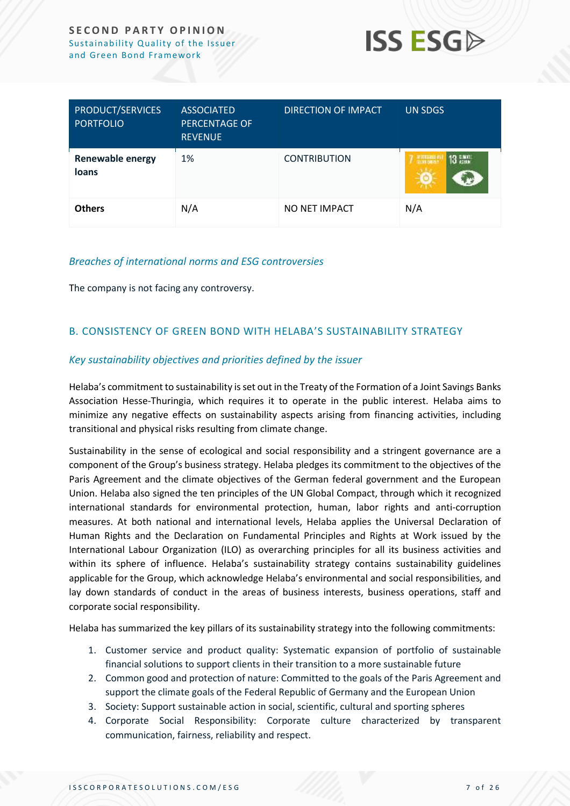

| PRODUCT/SERVICES<br><b>PORTFOLIO</b>    | <b>ASSOCIATED</b><br><b>PERCENTAGE OF</b><br><b>REVENUE</b> | DIRECTION OF IMPACT | <b>UN SDGS</b>                                                  |
|-----------------------------------------|-------------------------------------------------------------|---------------------|-----------------------------------------------------------------|
| <b>Renewable energy</b><br><b>loans</b> | 1%                                                          | <b>CONTRIBUTION</b> | $7 \frac{\text{must}}{\text{must}}$<br>$13 \frac{10001}{10000}$ |
| <b>Others</b>                           | N/A                                                         | NO NET IMPACT       | N/A                                                             |

#### *Breaches of international norms and ESG controversies*

The company is not facing any controversy.

#### <span id="page-6-0"></span>B. CONSISTENCY OF GREEN BOND WITH HELABA'S SUSTAINABILITY STRATEGY

#### *Key sustainability objectives and priorities defined by the issuer*

Helaba's commitment to sustainability is set out in the Treaty of the Formation of a Joint Savings Banks Association Hesse-Thuringia, which requires it to operate in the public interest. Helaba aims to minimize any negative effects on sustainability aspects arising from financing activities, including transitional and physical risks resulting from climate change.

Sustainability in the sense of ecological and social responsibility and a stringent governance are a component of the Group's business strategy. Helaba pledges its commitment to the objectives of the Paris Agreement and the climate objectives of the German federal government and the European Union. Helaba also signed the ten principles of the UN Global Compact, through which it recognized international standards for environmental protection, human, labor rights and anti-corruption measures. At both national and international levels, Helaba applies the Universal Declaration of Human Rights and the Declaration on Fundamental Principles and Rights at Work issued by the International Labour Organization (ILO) as overarching principles for all its business activities and within its sphere of influence. Helaba's sustainability strategy contains sustainability guidelines applicable for the Group, which acknowledge Helaba's environmental and social responsibilities, and lay down standards of conduct in the areas of business interests, business operations, staff and corporate social responsibility.

Helaba has summarized the key pillars of its sustainability strategy into the following commitments:

- 1. Customer service and product quality: Systematic expansion of portfolio of sustainable financial solutions to support clients in their transition to a more sustainable future
- 2. Common good and protection of nature: Committed to the goals of the Paris Agreement and support the climate goals of the Federal Republic of Germany and the European Union
- 3. Society: Support sustainable action in social, scientific, cultural and sporting spheres
- 4. Corporate Social Responsibility: Corporate culture characterized by transparent communication, fairness, reliability and respect.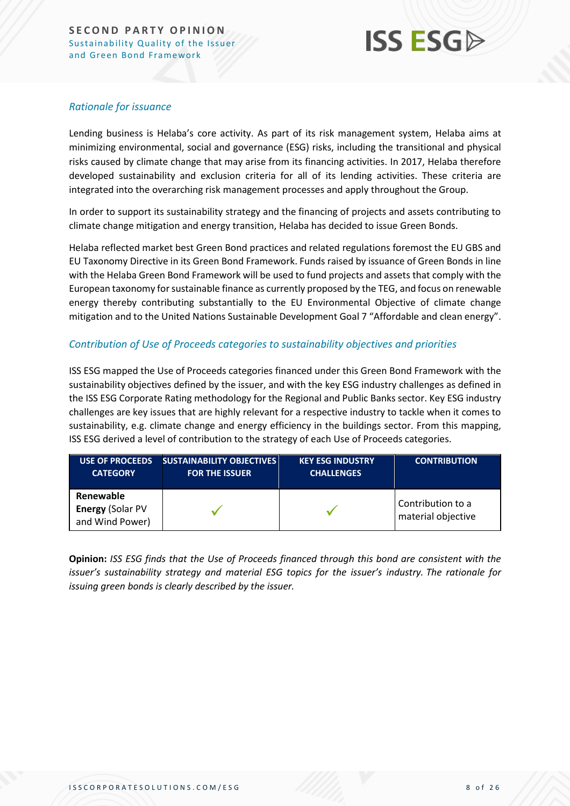#### *Rationale for issuance*

Lending business is Helaba's core activity. As part of its risk management system, Helaba aims at minimizing environmental, social and governance (ESG) risks, including the transitional and physical risks caused by climate change that may arise from its financing activities. In 2017, Helaba therefore developed sustainability and exclusion criteria for all of its lending activities. These criteria are integrated into the overarching risk management processes and apply throughout the Group.

In order to support its sustainability strategy and the financing of projects and assets contributing to climate change mitigation and energy transition, Helaba has decided to issue Green Bonds.

Helaba reflected market best Green Bond practices and related regulations foremost the EU GBS and EU Taxonomy Directive in its Green Bond Framework. Funds raised by issuance of Green Bonds in line with the Helaba Green Bond Framework will be used to fund projects and assets that comply with the European taxonomy for sustainable finance as currently proposed by the TEG, and focus on renewable energy thereby contributing substantially to the EU Environmental Objective of climate change mitigation and to the United Nations Sustainable Development Goal 7 "Affordable and clean energy".

#### *Contribution of Use of Proceeds categories to sustainability objectives and priorities*

ISS ESG mapped the Use of Proceeds categories financed under this Green Bond Framework with the sustainability objectives defined by the issuer, and with the key ESG industry challenges as defined in the ISS ESG Corporate Rating methodology for the Regional and Public Banks sector. Key ESG industry challenges are key issues that are highly relevant for a respective industry to tackle when it comes to sustainability, e.g. climate change and energy efficiency in the buildings sector. From this mapping, ISS ESG derived a level of contribution to the strategy of each Use of Proceeds categories.

| <b>USE OF PROCEEDS</b>                           | <b>SUSTAINABILITY OBJECTIVES</b> | <b>KEY ESG INDUSTRY</b> | <b>CONTRIBUTION</b>                     |
|--------------------------------------------------|----------------------------------|-------------------------|-----------------------------------------|
| <b>CATEGORY</b>                                  | <b>FOR THE ISSUER</b>            | <b>CHALLENGES</b>       |                                         |
| Renewable<br>Energy (Solar PV<br>and Wind Power) |                                  |                         | Contribution to a<br>material objective |

**Opinion:** *ISS ESG finds that the Use of Proceeds financed through this bond are consistent with the issuer's sustainability strategy and material ESG topics for the issuer's industry. The rationale for issuing green bonds is clearly described by the issuer.*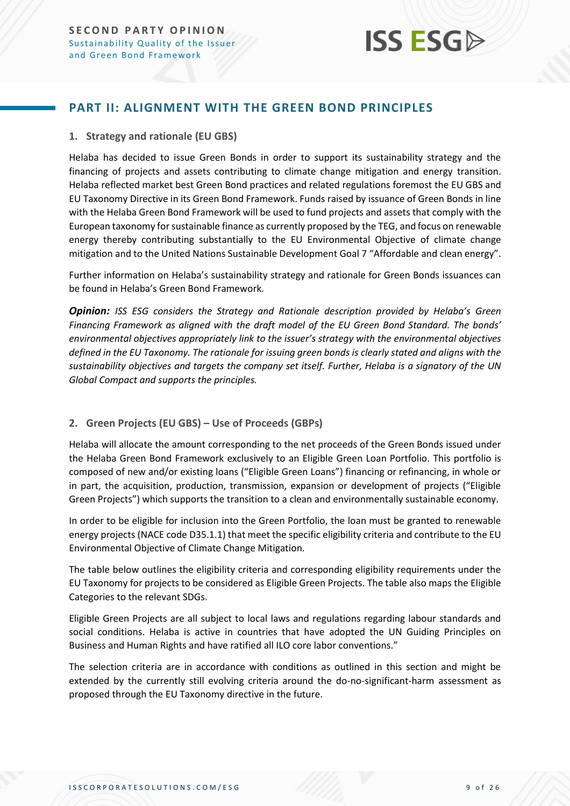

#### <span id="page-8-0"></span>**PART II: ALIGNMENT WITH THE GREEN BOND PRINCIPLES**

#### **1. Strategy and rationale (EU GBS)**

Helaba has decided to issue Green Bonds in order to support its sustainability strategy and the financing of projects and assets contributing to climate change mitigation and energy transition. Helaba reflected market best Green Bond practices and related regulations foremost the EU GBS and EU Taxonomy Directive in its Green Bond Framework. Funds raised by issuance of Green Bonds in line with the Helaba Green Bond Framework will be used to fund projects and assets that comply with the European taxonomy for sustainable finance as currently proposed by the TEG, and focus on renewable energy thereby contributing substantially to the EU Environmental Objective of climate change mitigation and to the United Nations Sustainable Development Goal 7 "Affordable and clean energy".

Further information on Helaba's sustainability strategy and rationale for Green Bonds issuances can be found in Helaba's Green Bond Framework.

**Opinion:** *ISS ESG considers the Strategy and Rationale description provided by Helaba's Green Financing Framework as aligned with the draft model of the EU Green Bond Standard. The bonds' environmental objectives appropriately link to the issuer's strategy with the environmental objectives defined in the EU Taxonomy. The rationale for issuing green bonds is clearly stated and aligns with the sustainability objectives and targets the company set itself. Further, Helaba is a signatory of the UN Global Compact and supports the principles.* 

#### **2. Green Projects (EU GBS) – Use of Proceeds (GBPs)**

Helaba will allocate the amount corresponding to the net proceeds of the Green Bonds issued under the Helaba Green Bond Framework exclusively to an Eligible Green Loan Portfolio. This portfolio is composed of new and/or existing loans ("Eligible Green Loans") financing or refinancing, in whole or in part, the acquisition, production, transmission, expansion or development of projects ("Eligible Green Projects") which supports the transition to a clean and environmentally sustainable economy.

In order to be eligible for inclusion into the Green Portfolio, the loan must be granted to renewable energy projects (NACE code D35.1.1) that meet the specific eligibility criteria and contribute to the EU Environmental Objective of Climate Change Mitigation.

The table below outlines the eligibility criteria and corresponding eligibility requirements under the EU Taxonomy for projects to be considered as Eligible Green Projects. The table also maps the Eligible Categories to the relevant SDGs.

Eligible Green Projects are all subject to local laws and regulations regarding labour standards and social conditions. Helaba is active in countries that have adopted the UN Guiding Principles on Business and Human Rights and have ratified all ILO core labor conventions."

The selection criteria are in accordance with conditions as outlined in this section and might be extended by the currently still evolving criteria around the do-no-significant-harm assessment as proposed through the EU Taxonomy directive in the future.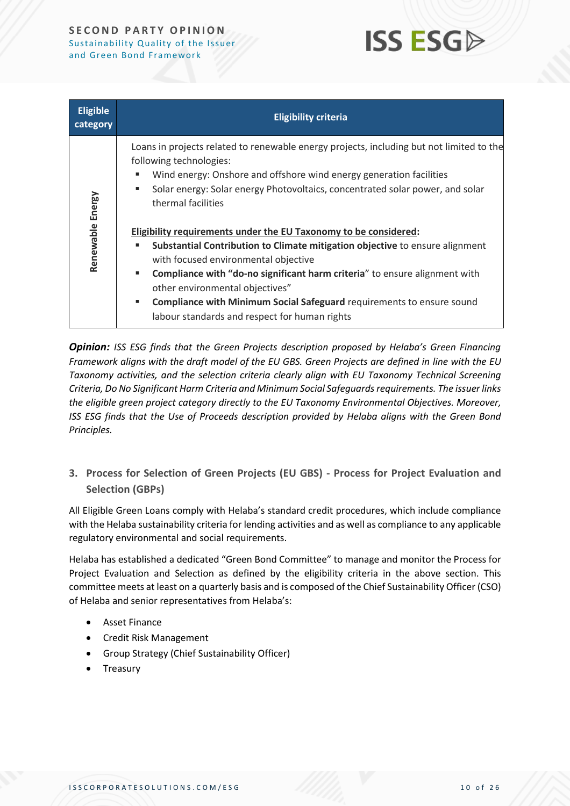## **ISS ESG**

| <b>Eligible</b><br>category | <b>Eligibility criteria</b>                                                                                                                                                                                                                                                                            |
|-----------------------------|--------------------------------------------------------------------------------------------------------------------------------------------------------------------------------------------------------------------------------------------------------------------------------------------------------|
| Renewable Energy            | Loans in projects related to renewable energy projects, including but not limited to the<br>following technologies:<br>Wind energy: Onshore and offshore wind energy generation facilities<br>п<br>Solar energy: Solar energy Photovoltaics, concentrated solar power, and solar<br>thermal facilities |
|                             | Eligibility requirements under the EU Taxonomy to be considered:                                                                                                                                                                                                                                       |
|                             | Substantial Contribution to Climate mitigation objective to ensure alignment<br>п<br>with focused environmental objective                                                                                                                                                                              |
|                             | Compliance with "do-no significant harm criteria" to ensure alignment with<br>×.<br>other environmental objectives"                                                                                                                                                                                    |
|                             | Compliance with Minimum Social Safeguard requirements to ensure sound<br>٠<br>labour standards and respect for human rights                                                                                                                                                                            |

*Opinion: ISS ESG finds that the Green Projects description proposed by Helaba's Green Financing Framework aligns with the draft model of the EU GBS. Green Projects are defined in line with the EU Taxonomy activities, and the selection criteria clearly align with EU Taxonomy Technical Screening Criteria, Do No Significant Harm Criteria and Minimum Social Safeguardsrequirements. The issuer links the eligible green project category directly to the EU Taxonomy Environmental Objectives. Moreover, ISS ESG finds that the Use of Proceeds description provided by Helaba aligns with the Green Bond Principles.*

**3. Process for Selection of Green Projects (EU GBS) - Process for Project Evaluation and Selection (GBPs)**

All Eligible Green Loans comply with Helaba's standard credit procedures, which include compliance with the Helaba sustainability criteria for lending activities and as well as compliance to any applicable regulatory environmental and social requirements.

Helaba has established a dedicated "Green Bond Committee" to manage and monitor the Process for Project Evaluation and Selection as defined by the eligibility criteria in the above section. This committee meets at least on a quarterly basis and is composed of the Chief Sustainability Officer (CSO) of Helaba and senior representatives from Helaba's:

- Asset Finance
- Credit Risk Management
- Group Strategy (Chief Sustainability Officer)
- Treasury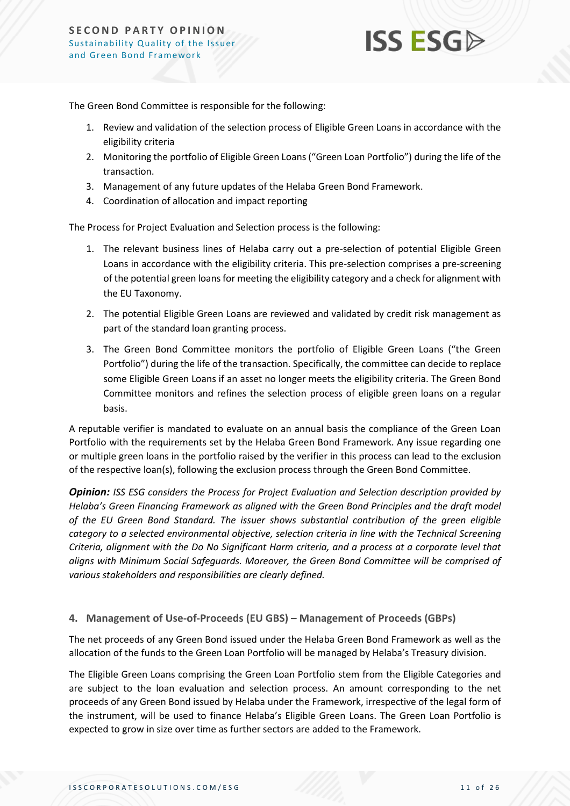

The Green Bond Committee is responsible for the following:

- 1. Review and validation of the selection process of Eligible Green Loans in accordance with the eligibility criteria
- 2. Monitoring the portfolio of Eligible Green Loans ("Green Loan Portfolio") during the life of the transaction.
- 3. Management of any future updates of the Helaba Green Bond Framework.
- 4. Coordination of allocation and impact reporting

The Process for Project Evaluation and Selection process is the following:

- 1. The relevant business lines of Helaba carry out a pre-selection of potential Eligible Green Loans in accordance with the eligibility criteria. This pre-selection comprises a pre-screening of the potential green loans for meeting the eligibility category and a check for alignment with the EU Taxonomy.
- 2. The potential Eligible Green Loans are reviewed and validated by credit risk management as part of the standard loan granting process.
- 3. The Green Bond Committee monitors the portfolio of Eligible Green Loans ("the Green Portfolio") during the life of the transaction. Specifically, the committee can decide to replace some Eligible Green Loans if an asset no longer meets the eligibility criteria. The Green Bond Committee monitors and refines the selection process of eligible green loans on a regular basis.

A reputable verifier is mandated to evaluate on an annual basis the compliance of the Green Loan Portfolio with the requirements set by the Helaba Green Bond Framework. Any issue regarding one or multiple green loans in the portfolio raised by the verifier in this process can lead to the exclusion of the respective loan(s), following the exclusion process through the Green Bond Committee.

*Opinion: ISS ESG considers the Process for Project Evaluation and Selection description provided by Helaba's Green Financing Framework as aligned with the Green Bond Principles and the draft model of the EU Green Bond Standard. The issuer shows substantial contribution of the green eligible category to a selected environmental objective, selection criteria in line with the Technical Screening Criteria, alignment with the Do No Significant Harm criteria, and a process at a corporate level that aligns with Minimum Social Safeguards. Moreover, the Green Bond Committee will be comprised of various stakeholders and responsibilities are clearly defined.*

#### **4. Management of Use-of-Proceeds (EU GBS) – Management of Proceeds (GBPs)**

The net proceeds of any Green Bond issued under the Helaba Green Bond Framework as well as the allocation of the funds to the Green Loan Portfolio will be managed by Helaba's Treasury division.

The Eligible Green Loans comprising the Green Loan Portfolio stem from the Eligible Categories and are subject to the loan evaluation and selection process. An amount corresponding to the net proceeds of any Green Bond issued by Helaba under the Framework, irrespective of the legal form of the instrument, will be used to finance Helaba's Eligible Green Loans. The Green Loan Portfolio is expected to grow in size over time as further sectors are added to the Framework.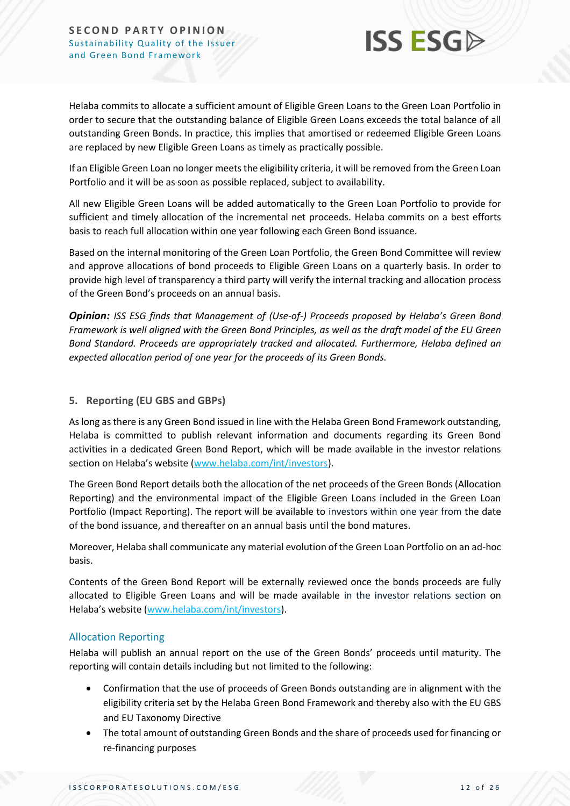

Helaba commits to allocate a sufficient amount of Eligible Green Loans to the Green Loan Portfolio in order to secure that the outstanding balance of Eligible Green Loans exceeds the total balance of all outstanding Green Bonds. In practice, this implies that amortised or redeemed Eligible Green Loans are replaced by new Eligible Green Loans as timely as practically possible.

If an Eligible Green Loan no longer meets the eligibility criteria, it will be removed from the Green Loan Portfolio and it will be as soon as possible replaced, subject to availability.

All new Eligible Green Loans will be added automatically to the Green Loan Portfolio to provide for sufficient and timely allocation of the incremental net proceeds. Helaba commits on a best efforts basis to reach full allocation within one year following each Green Bond issuance.

Based on the internal monitoring of the Green Loan Portfolio, the Green Bond Committee will review and approve allocations of bond proceeds to Eligible Green Loans on a quarterly basis. In order to provide high level of transparency a third party will verify the internal tracking and allocation process of the Green Bond's proceeds on an annual basis.

*Opinion: ISS ESG finds that Management of (Use-of-) Proceeds proposed by Helaba's Green Bond Framework is well aligned with the Green Bond Principles, as well as the draft model of the EU Green Bond Standard. Proceeds are appropriately tracked and allocated. Furthermore, Helaba defined an expected allocation period of one year for the proceeds of its Green Bonds.* 

#### **5. Reporting (EU GBS and GBPs)**

As long as there is any Green Bond issued in line with the Helaba Green Bond Framework outstanding, Helaba is committed to publish relevant information and documents regarding its Green Bond activities in a dedicated Green Bond Report, which will be made available in the investor relations section on Helaba's website ([www.helaba.com/int/investors\)](https://protect-eu.mimecast.com/s/aXx2COM97Uvxw2xIvUIMc?domain=helaba.com).

The Green Bond Report details both the allocation of the net proceeds of the Green Bonds (Allocation Reporting) and the environmental impact of the Eligible Green Loans included in the Green Loan Portfolio (Impact Reporting). The report will be available to investors within one year from the date of the bond issuance, and thereafter on an annual basis until the bond matures.

Moreover, Helaba shall communicate any material evolution of the Green Loan Portfolio on an ad-hoc basis.

Contents of the Green Bond Report will be externally reviewed once the bonds proceeds are fully allocated to Eligible Green Loans and will be made available in the investor relations section on Helaba's website ([www.helaba.com/int/investors\)](https://protect-eu.mimecast.com/s/aXx2COM97Uvxw2xIvUIMc?domain=helaba.com).

#### Allocation Reporting

Helaba will publish an annual report on the use of the Green Bonds' proceeds until maturity. The reporting will contain details including but not limited to the following:

- Confirmation that the use of proceeds of Green Bonds outstanding are in alignment with the eligibility criteria set by the Helaba Green Bond Framework and thereby also with the EU GBS and EU Taxonomy Directive
- The total amount of outstanding Green Bonds and the share of proceeds used for financing or re-financing purposes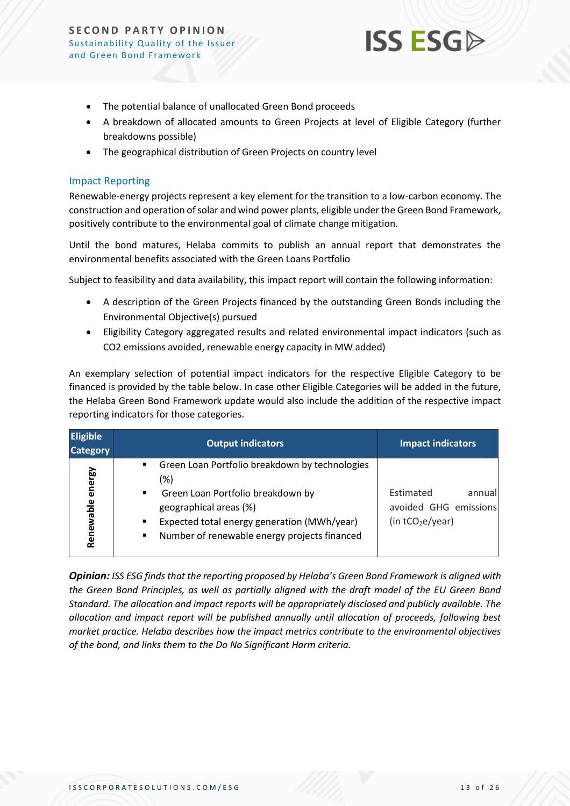

- The potential balance of unallocated Green Bond proceeds
- A breakdown of allocated amounts to Green Projects at level of Eligible Category (further breakdowns possible)
- The geographical distribution of Green Projects on country level

#### Impact Reporting

Renewable-energy projects represent a key element for the transition to a low-carbon economy. The construction and operation of solar and wind power plants, eligible under the Green Bond Framework, positively contribute to the environmental goal of climate change mitigation.

Until the bond matures, Helaba commits to publish an annual report that demonstrates the environmental benefits associated with the Green Loans Portfolio

Subject to feasibility and data availability, this impact report will contain the following information:

- A description of the Green Projects financed by the outstanding Green Bonds including the Environmental Objective(s) pursued
- Eligibility Category aggregated results and related environmental impact indicators (such as CO2 emissions avoided, renewable energy capacity in MW added)

An exemplary selection of potential impact indicators for the respective Eligible Category to be financed is provided by the table below. In case other Eligible Categories will be added in the future, the Helaba Green Bond Framework update would also include the addition of the respective impact reporting indicators for those categories.

| <b>Eligible</b><br><b>Category</b> | <b>Output indicators</b>                                                                                                                                                                                                                                                                    | <b>Impact indicators</b>                                           |
|------------------------------------|---------------------------------------------------------------------------------------------------------------------------------------------------------------------------------------------------------------------------------------------------------------------------------------------|--------------------------------------------------------------------|
| energy<br>Renewable                | Green Loan Portfolio breakdown by technologies<br>$\blacksquare$<br>(%)<br>Green Loan Portfolio breakdown by<br>$\blacksquare$<br>geographical areas (%)<br>Expected total energy generation (MWh/year)<br>$\blacksquare$<br>Number of renewable energy projects financed<br>$\blacksquare$ | Estimated<br>annual<br>avoided GHG emissions<br>(in $tCO2e/year$ ) |

*Opinion: ISS ESG finds that the reporting proposed by Helaba's Green Bond Framework is aligned with the Green Bond Principles, as well as partially aligned with the draft model of the EU Green Bond Standard. The allocation and impact reports will be appropriately disclosed and publicly available. The allocation and impact report will be published annually until allocation of proceeds, following best market practice. Helaba describes how the impact metrics contribute to the environmental objectives of the bond, and links them to the Do No Significant Harm criteria.*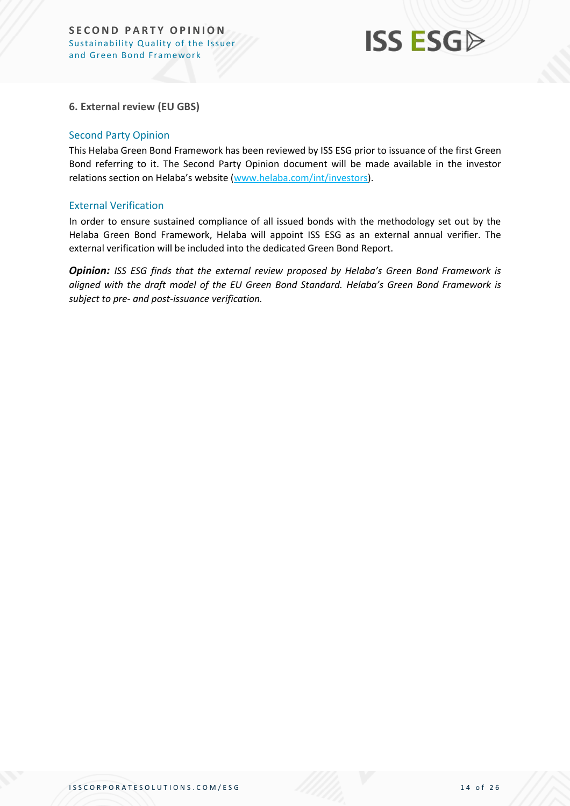

#### **6. External review (EU GBS)**

#### Second Party Opinion

This Helaba Green Bond Framework has been reviewed by ISS ESG prior to issuance of the first Green Bond referring to it. The Second Party Opinion document will be made available in the investor relations section on Helaba's website ([www.helaba.com/int/investors\)](https://protect-eu.mimecast.com/s/aXx2COM97Uvxw2xIvUIMc?domain=helaba.com).

#### External Verification

In order to ensure sustained compliance of all issued bonds with the methodology set out by the Helaba Green Bond Framework, Helaba will appoint ISS ESG as an external annual verifier. The external verification will be included into the dedicated Green Bond Report.

*Opinion: ISS ESG finds that the external review proposed by Helaba's Green Bond Framework is aligned with the draft model of the EU Green Bond Standard. Helaba's Green Bond Framework is subject to pre- and post-issuance verification.*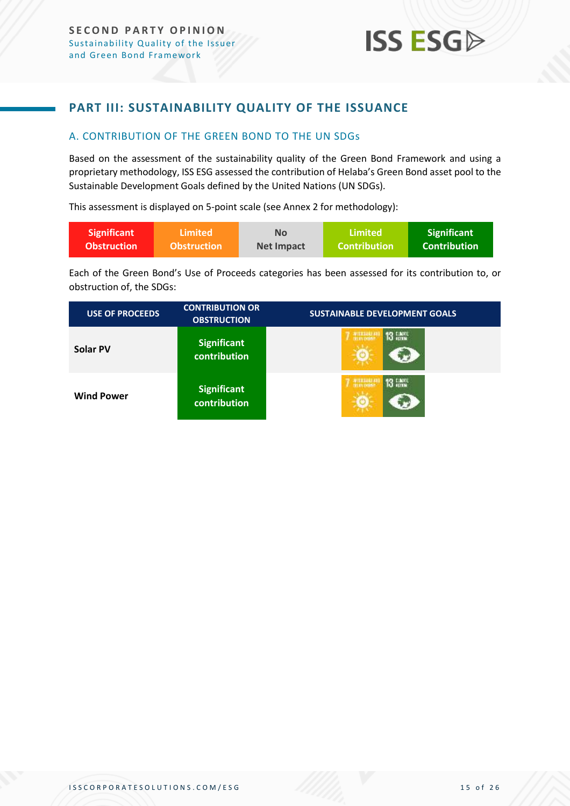### <span id="page-14-0"></span>**PART III: SUSTAINABILITY QUALITY OF THE ISSUANCE**

#### <span id="page-14-1"></span>A. CONTRIBUTION OF THE GREEN BOND TO THE UN SDGs

Based on the assessment of the sustainability quality of the Green Bond Framework and using a proprietary methodology, ISS ESG assessed the contribution of Helaba's Green Bond asset pool to the Sustainable Development Goals defined by the United Nations (UN SDGs).

This assessment is displayed on 5-point scale (see Annex 2 for methodology):

| <b>Significant</b> | ا Limited          | No                | Limited             | <b>Significant</b>  |
|--------------------|--------------------|-------------------|---------------------|---------------------|
| <b>Obstruction</b> | <b>Obstruction</b> | <b>Net Impact</b> | <b>Contribution</b> | <b>Contribution</b> |

Each of the Green Bond's Use of Proceeds categories has been assessed for its contribution to, or obstruction of, the SDGs:

| <b>USE OF PROCEEDS</b> | <b>CONTRIBUTION OR</b><br><b>OBSTRUCTION</b> | <b>SUSTAINABLE DEVELOPMENT GOALS</b> |
|------------------------|----------------------------------------------|--------------------------------------|
| Solar PV               | <b>Significant</b><br>contribution           | <b>WILLIAM</b>                       |
| <b>Wind Power</b>      | <b>Significant</b><br><b>contribution</b>    | <b>WILLIAM</b>                       |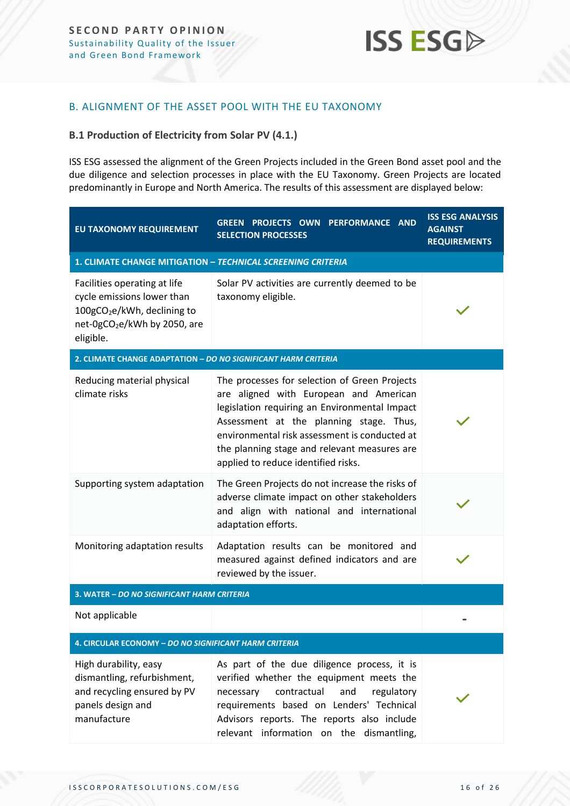#### <span id="page-15-0"></span>B. ALIGNMENT OF THE ASSET POOL WITH THE EU TAXONOMY

#### **B.1 Production of Electricity from Solar PV (4.1.)**

ISS ESG assessed the alignment of the Green Projects included in the Green Bond asset pool and the due diligence and selection processes in place with the EU Taxonomy. Green Projects are located predominantly in Europe and North America. The results of this assessment are displayed below:

| EU TAXONOMY REQUIREMENT                                                                                                                                        | <b>GREEN PROJECTS OWN PERFORMANCE AND</b><br><b>SELECTION PROCESSES</b>                                                                                                                                                                                                                                                     | <b>ISS ESG ANALYSIS</b><br><b>AGAINST</b><br><b>REQUIREMENTS</b> |  |
|----------------------------------------------------------------------------------------------------------------------------------------------------------------|-----------------------------------------------------------------------------------------------------------------------------------------------------------------------------------------------------------------------------------------------------------------------------------------------------------------------------|------------------------------------------------------------------|--|
| 1. CLIMATE CHANGE MITIGATION - TECHNICAL SCREENING CRITERIA                                                                                                    |                                                                                                                                                                                                                                                                                                                             |                                                                  |  |
| Facilities operating at life<br>cycle emissions lower than<br>100gCO <sub>2</sub> e/kWh, declining to<br>net-0gCO <sub>2</sub> e/kWh by 2050, are<br>eligible. | Solar PV activities are currently deemed to be<br>taxonomy eligible.                                                                                                                                                                                                                                                        |                                                                  |  |
| 2. CLIMATE CHANGE ADAPTATION - DO NO SIGNIFICANT HARM CRITERIA                                                                                                 |                                                                                                                                                                                                                                                                                                                             |                                                                  |  |
| Reducing material physical<br>climate risks                                                                                                                    | The processes for selection of Green Projects<br>are aligned with European and American<br>legislation requiring an Environmental Impact<br>Assessment at the planning stage. Thus,<br>environmental risk assessment is conducted at<br>the planning stage and relevant measures are<br>applied to reduce identified risks. |                                                                  |  |
| Supporting system adaptation                                                                                                                                   | The Green Projects do not increase the risks of<br>adverse climate impact on other stakeholders<br>and align with national and international<br>adaptation efforts.                                                                                                                                                         |                                                                  |  |
| Monitoring adaptation results                                                                                                                                  | Adaptation results can be monitored and<br>measured against defined indicators and are<br>reviewed by the issuer.                                                                                                                                                                                                           |                                                                  |  |
| 3. WATER - DO NO SIGNIFICANT HARM CRITERIA                                                                                                                     |                                                                                                                                                                                                                                                                                                                             |                                                                  |  |
| Not applicable                                                                                                                                                 |                                                                                                                                                                                                                                                                                                                             |                                                                  |  |
| 4. CIRCULAR ECONOMY - DO NO SIGNIFICANT HARM CRITERIA                                                                                                          |                                                                                                                                                                                                                                                                                                                             |                                                                  |  |
| High durability, easy<br>dismantling, refurbishment,<br>and recycling ensured by PV<br>panels design and<br>manufacture                                        | As part of the due diligence process, it is<br>verified whether the equipment meets the<br>contractual<br>and<br>regulatory<br>necessary<br>requirements based on Lenders' Technical<br>Advisors reports. The reports also include<br>relevant information on the dismantling,                                              |                                                                  |  |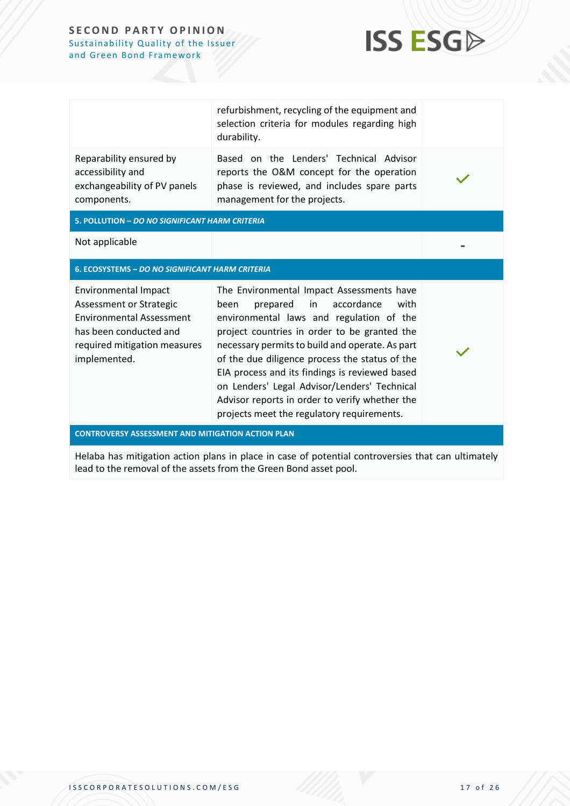

|                                                                                             | refurbishment, recycling of the equipment and<br>selection criteria for modules regarding high<br>durability.                                                       |  |
|---------------------------------------------------------------------------------------------|---------------------------------------------------------------------------------------------------------------------------------------------------------------------|--|
| Reparability ensured by<br>accessibility and<br>exchangeability of PV panels<br>components. | Based on the Lenders' Technical Advisor<br>reports the O&M concept for the operation<br>phase is reviewed, and includes spare parts<br>management for the projects. |  |
| 5. POLLUTION - DO NO SIGNIFICANT HARM CRITERIA                                              |                                                                                                                                                                     |  |
| Not applicable                                                                              |                                                                                                                                                                     |  |

#### **6. ECOSYSTEMS –** *DO NO SIGNIFICANT HARM CRITERIA*

Environmental Impact Assessment or Strategic Environmental Assessment has been conducted and required mitigation measures implemented.

The Environmental Impact Assessments have been prepared in accordance with environmental laws and regulation of the project countries in order to be granted the necessary permits to build and operate. As part of the due diligence process the status of the EIA process and its findings is reviewed based on Lenders' Legal Advisor/Lenders' Technical Advisor reports in order to verify whether the projects meet the regulatory requirements.

**CONTROVERSY ASSESSMENT AND MITIGATION ACTION PLAN**

Helaba has mitigation action plans in place in case of potential controversies that can ultimately lead to the removal of the assets from the Green Bond asset pool.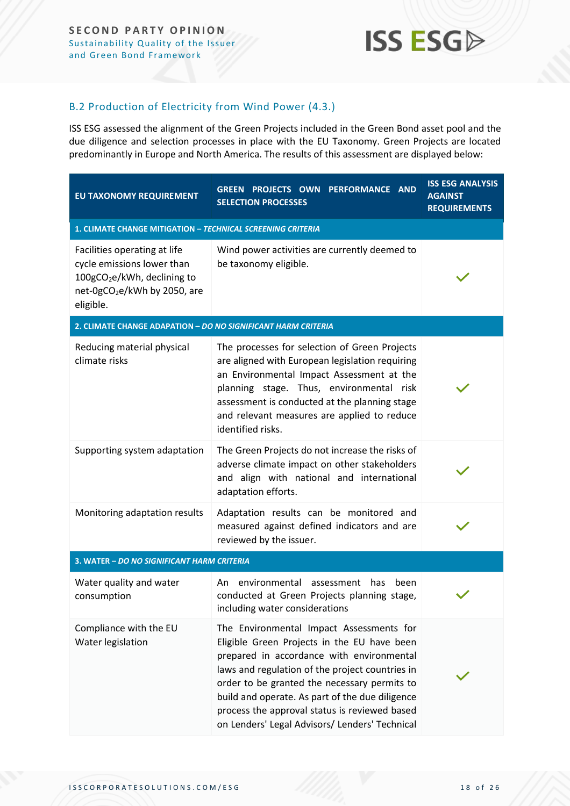#### B.2 Production of Electricity from Wind Power (4.3.)

ISS ESG assessed the alignment of the Green Projects included in the Green Bond asset pool and the due diligence and selection processes in place with the EU Taxonomy. Green Projects are located predominantly in Europe and North America. The results of this assessment are displayed below:

| EU TAXONOMY REQUIREMENT                                                                                                                                        | PROJECTS OWN PERFORMANCE AND<br><b>GREEN</b><br><b>SELECTION PROCESSES</b>                                                                                                                                                                                                                                                                                                                    | <b>ISS ESG ANALYSIS</b><br><b>AGAINST</b><br><b>REQUIREMENTS</b> |  |
|----------------------------------------------------------------------------------------------------------------------------------------------------------------|-----------------------------------------------------------------------------------------------------------------------------------------------------------------------------------------------------------------------------------------------------------------------------------------------------------------------------------------------------------------------------------------------|------------------------------------------------------------------|--|
| 1. CLIMATE CHANGE MITIGATION - TECHNICAL SCREENING CRITERIA                                                                                                    |                                                                                                                                                                                                                                                                                                                                                                                               |                                                                  |  |
| Facilities operating at life<br>cycle emissions lower than<br>100gCO <sub>2</sub> e/kWh, declining to<br>net-0gCO <sub>2</sub> e/kWh by 2050, are<br>eligible. | Wind power activities are currently deemed to<br>be taxonomy eligible.                                                                                                                                                                                                                                                                                                                        |                                                                  |  |
| 2. CLIMATE CHANGE ADAPATION - DO NO SIGNIFICANT HARM CRITERIA                                                                                                  |                                                                                                                                                                                                                                                                                                                                                                                               |                                                                  |  |
| Reducing material physical<br>climate risks                                                                                                                    | The processes for selection of Green Projects<br>are aligned with European legislation requiring<br>an Environmental Impact Assessment at the<br>planning stage. Thus, environmental risk<br>assessment is conducted at the planning stage<br>and relevant measures are applied to reduce<br>identified risks.                                                                                |                                                                  |  |
| Supporting system adaptation                                                                                                                                   | The Green Projects do not increase the risks of<br>adverse climate impact on other stakeholders<br>and align with national and international<br>adaptation efforts.                                                                                                                                                                                                                           |                                                                  |  |
| Monitoring adaptation results                                                                                                                                  | Adaptation results can be monitored and<br>measured against defined indicators and are<br>reviewed by the issuer.                                                                                                                                                                                                                                                                             |                                                                  |  |
| 3. WATER - DO NO SIGNIFICANT HARM CRITERIA                                                                                                                     |                                                                                                                                                                                                                                                                                                                                                                                               |                                                                  |  |
| Water quality and water<br>consumption                                                                                                                         | environmental<br>has<br>An.<br>assessment<br>been<br>conducted at Green Projects planning stage,<br>including water considerations                                                                                                                                                                                                                                                            |                                                                  |  |
| Compliance with the EU<br>Water legislation                                                                                                                    | The Environmental Impact Assessments for<br>Eligible Green Projects in the EU have been<br>prepared in accordance with environmental<br>laws and regulation of the project countries in<br>order to be granted the necessary permits to<br>build and operate. As part of the due diligence<br>process the approval status is reviewed based<br>on Lenders' Legal Advisors/ Lenders' Technical |                                                                  |  |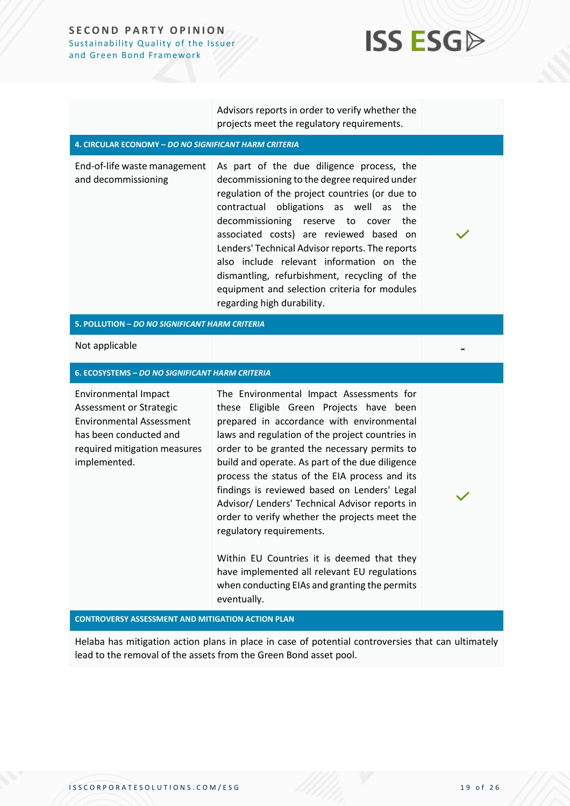## **ISS ESG**

**-**

Advisors reports in order to verify whether the projects meet the regulatory requirements.

#### **4. CIRCULAR ECONOMY –** *DO NO SIGNIFICANT HARM CRITERIA*

End-of-life waste management and decommissioning As part of the due diligence process, the decommissioning to the degree required under regulation of the project countries (or due to contractual obligations as well as the decommissioning reserve to cover the associated costs) are reviewed based on Lenders' Technical Advisor reports. The reports also include relevant information on the dismantling, refurbishment, recycling of the equipment and selection criteria for modules regarding high durability.

#### **5. POLLUTION –** *DO NO SIGNIFICANT HARM CRITERIA*

Not applicable

#### **6. ECOSYSTEMS –** *DO NO SIGNIFICANT HARM CRITERIA*

Environmental Impact Assessment or Strategic Environmental Assessment has been conducted and required mitigation measures implemented.

The Environmental Impact Assessments for these Eligible Green Projects have been prepared in accordance with environmental laws and regulation of the project countries in order to be granted the necessary permits to build and operate. As part of the due diligence process the status of the EIA process and its findings is reviewed based on Lenders' Legal Advisor/ Lenders' Technical Advisor reports in order to verify whether the projects meet the regulatory requirements.

Within EU Countries it is deemed that they have implemented all relevant EU regulations when conducting EIAs and granting the permits eventually.

#### **CONTROVERSY ASSESSMENT AND MITIGATION ACTION PLAN**

Helaba has mitigation action plans in place in case of potential controversies that can ultimately lead to the removal of the assets from the Green Bond asset pool.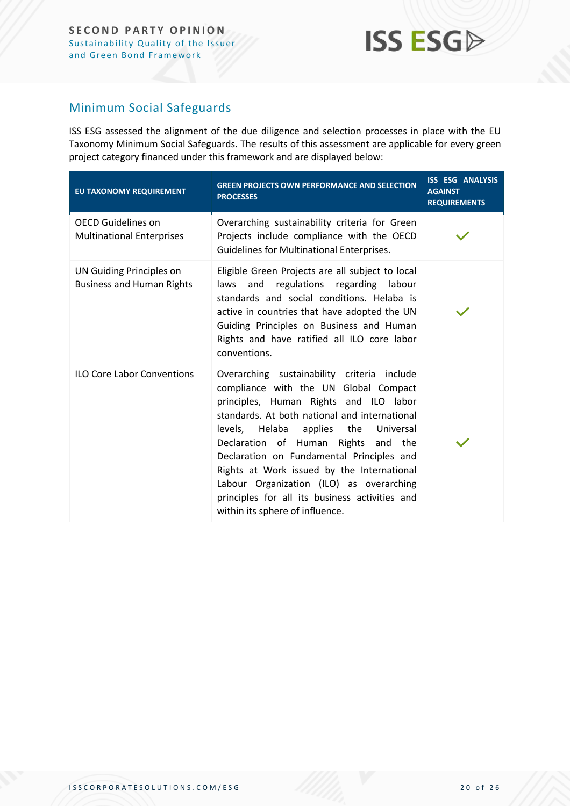#### Minimum Social Safeguards

ISS ESG assessed the alignment of the due diligence and selection processes in place with the EU Taxonomy Minimum Social Safeguards. The results of this assessment are applicable for every green project category financed under this framework and are displayed below:

| EU TAXONOMY REQUIREMENT                                             | <b>GREEN PROJECTS OWN PERFORMANCE AND SELECTION</b><br><b>PROCESSES</b>                                                                                                                                                                                                                                                                                                                                                                                                                             | <b>ISS ESG ANALYSIS</b><br><b>AGAINST</b><br><b>REQUIREMENTS</b> |
|---------------------------------------------------------------------|-----------------------------------------------------------------------------------------------------------------------------------------------------------------------------------------------------------------------------------------------------------------------------------------------------------------------------------------------------------------------------------------------------------------------------------------------------------------------------------------------------|------------------------------------------------------------------|
| <b>OECD Guidelines on</b><br><b>Multinational Enterprises</b>       | Overarching sustainability criteria for Green<br>Projects include compliance with the OECD<br>Guidelines for Multinational Enterprises.                                                                                                                                                                                                                                                                                                                                                             |                                                                  |
| <b>UN Guiding Principles on</b><br><b>Business and Human Rights</b> | Eligible Green Projects are all subject to local<br>laws and regulations regarding labour<br>standards and social conditions. Helaba is<br>active in countries that have adopted the UN<br>Guiding Principles on Business and Human<br>Rights and have ratified all ILO core labor<br>conventions.                                                                                                                                                                                                  |                                                                  |
| <b>ILO Core Labor Conventions</b>                                   | Overarching sustainability criteria include<br>compliance with the UN Global Compact<br>principles, Human Rights and ILO labor<br>standards. At both national and international<br>levels, Helaba<br>the<br>applies<br>Universal<br>Declaration of Human Rights and the<br>Declaration on Fundamental Principles and<br>Rights at Work issued by the International<br>Labour Organization (ILO) as overarching<br>principles for all its business activities and<br>within its sphere of influence. |                                                                  |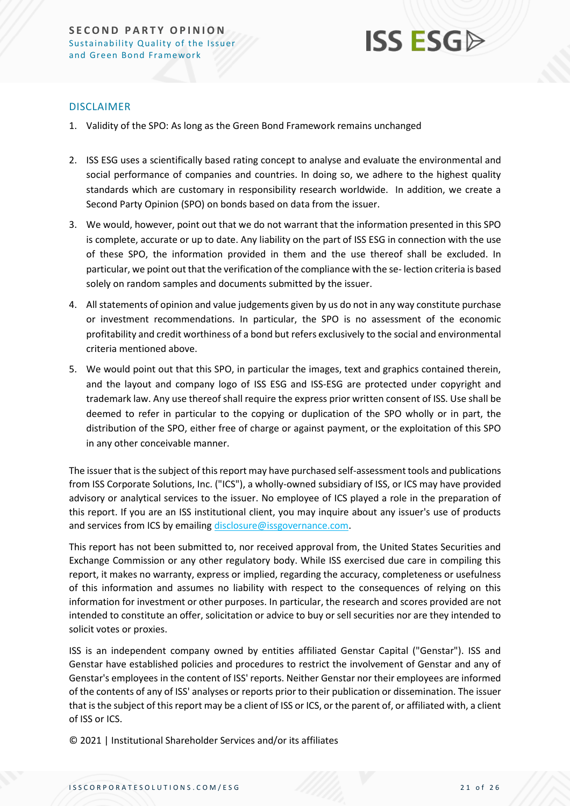

#### DISCLAIMER

- 1. Validity of the SPO: As long as the Green Bond Framework remains unchanged
- 2. ISS ESG uses a scientifically based rating concept to analyse and evaluate the environmental and social performance of companies and countries. In doing so, we adhere to the highest quality standards which are customary in responsibility research worldwide. In addition, we create a Second Party Opinion (SPO) on bonds based on data from the issuer.
- 3. We would, however, point out that we do not warrant that the information presented in this SPO is complete, accurate or up to date. Any liability on the part of ISS ESG in connection with the use of these SPO, the information provided in them and the use thereof shall be excluded. In particular, we point out that the verification of the compliance with the se- lection criteria is based solely on random samples and documents submitted by the issuer.
- 4. All statements of opinion and value judgements given by us do not in any way constitute purchase or investment recommendations. In particular, the SPO is no assessment of the economic profitability and credit worthiness of a bond but refers exclusively to the social and environmental criteria mentioned above.
- 5. We would point out that this SPO, in particular the images, text and graphics contained therein, and the layout and company logo of ISS ESG and ISS-ESG are protected under copyright and trademark law. Any use thereof shall require the express prior written consent of ISS. Use shall be deemed to refer in particular to the copying or duplication of the SPO wholly or in part, the distribution of the SPO, either free of charge or against payment, or the exploitation of this SPO in any other conceivable manner.

The issuer that is the subject of this report may have purchased self-assessment tools and publications from ISS Corporate Solutions, Inc. ("ICS"), a wholly-owned subsidiary of ISS, or ICS may have provided advisory or analytical services to the issuer. No employee of ICS played a role in the preparation of this report. If you are an ISS institutional client, you may inquire about any issuer's use of products and services from ICS by emailin[g disclosure@issgovernance.com.](mailto:disclosure@issgovernance.com)

This report has not been submitted to, nor received approval from, the United States Securities and Exchange Commission or any other regulatory body. While ISS exercised due care in compiling this report, it makes no warranty, express or implied, regarding the accuracy, completeness or usefulness of this information and assumes no liability with respect to the consequences of relying on this information for investment or other purposes. In particular, the research and scores provided are not intended to constitute an offer, solicitation or advice to buy or sell securities nor are they intended to solicit votes or proxies.

ISS is an independent company owned by entities affiliated Genstar Capital ("Genstar"). ISS and Genstar have established policies and procedures to restrict the involvement of Genstar and any of Genstar's employees in the content of ISS' reports. Neither Genstar nor their employees are informed of the contents of any of ISS' analyses or reports prior to their publication or dissemination. The issuer that is the subject of this report may be a client of ISS or ICS, or the parent of, or affiliated with, a client of ISS or ICS.

© 2021 | Institutional Shareholder Services and/or its affiliates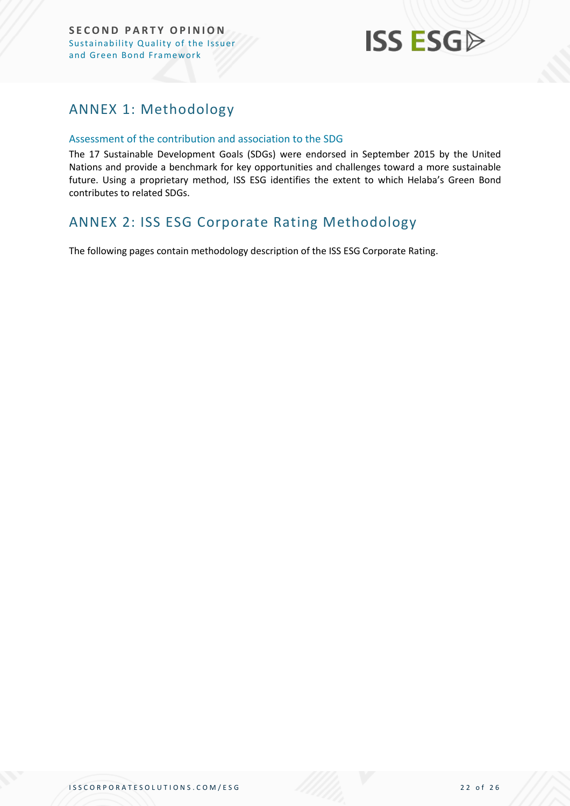

## <span id="page-21-0"></span>ANNEX 1: Methodology

#### Assessment of the contribution and association to the SDG

The 17 Sustainable Development Goals (SDGs) were endorsed in September 2015 by the United Nations and provide a benchmark for key opportunities and challenges toward a more sustainable future. Using a proprietary method, ISS ESG identifies the extent to which Helaba's Green Bond contributes to related SDGs.

### <span id="page-21-1"></span>ANNEX 2: ISS ESG Corporate Rating Methodology

The following pages contain methodology description of the ISS ESG Corporate Rating.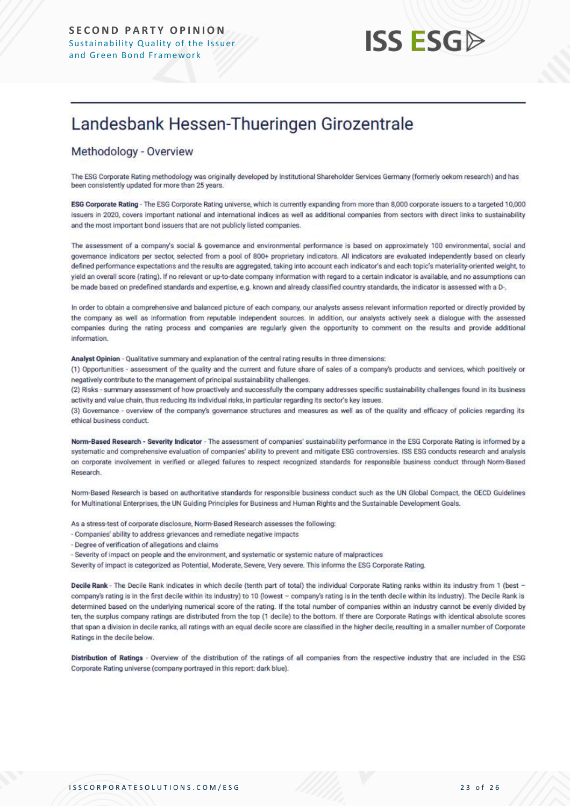## Landesbank Hessen-Thueringen Girozentrale

#### Methodology - Overview

The ESG Corporate Rating methodology was originally developed by Institutional Shareholder Services Germany (formerly oekom research) and has been consistently updated for more than 25 years.

ESG Corporate Rating - The ESG Corporate Rating universe, which is currently expanding from more than 8,000 corporate issuers to a targeted 10,000 issuers in 2020, covers important national and international indices as well as additional companies from sectors with direct links to sustainability and the most important bond issuers that are not publicly listed companies.

The assessment of a company's social & governance and environmental performance is based on approximately 100 environmental, social and governance indicators per sector, selected from a pool of 800+ proprietary indicators. All indicators are evaluated independently based on clearly defined performance expectations and the results are aggregated, taking into account each indicator's and each topic's materiality-oriented weight, to yield an overall score (rating). If no relevant or up-to-date company information with regard to a certain indicator is available, and no assumptions can be made based on predefined standards and expertise, e.g. known and already classified country standards, the indicator is assessed with a D-.

In order to obtain a comprehensive and balanced picture of each company, our analysts assess relevant information reported or directly provided by the company as well as information from reputable independent sources. In addition, our analysts actively seek a dialogue with the assessed companies during the rating process and companies are regularly given the opportunity to comment on the results and provide additional information.

Analyst Opinion - Qualitative summary and explanation of the central rating results in three dimensions:

(1) Opportunities - assessment of the quality and the current and future share of sales of a company's products and services, which positively or negatively contribute to the management of principal sustainability challenges.

(2) Risks - summary assessment of how proactively and successfully the company addresses specific sustainability challenges found in its business activity and value chain, thus reducing its individual risks, in particular regarding its sector's key issues.

(3) Governance - overview of the company's governance structures and measures as well as of the quality and efficacy of policies regarding its ethical business conduct.

Norm-Based Research - Severity Indicator - The assessment of companies' sustainability performance in the ESG Corporate Rating is informed by a systematic and comprehensive evaluation of companies' ability to prevent and mitigate ESG controversies. ISS ESG conducts research and analysis on corporate involvement in verified or alleged failures to respect recognized standards for responsible business conduct through Norm-Based Research.

Norm-Based Research is based on authoritative standards for responsible business conduct such as the UN Global Compact, the OECD Guidelines for Multinational Enterprises, the UN Guiding Principles for Business and Human Rights and the Sustainable Development Goals.

As a stress-test of corporate disclosure, Norm-Based Research assesses the following:

- Companies' ability to address grievances and remediate negative impacts
- Degree of verification of allegations and claims
- Severity of impact on people and the environment, and systematic or systemic nature of malpractices

Severity of impact is categorized as Potential, Moderate, Severe, Very severe. This informs the ESG Corporate Rating.

Decile Rank - The Decile Rank indicates in which decile (tenth part of total) the individual Corporate Rating ranks within its industry from 1 (best company's rating is in the first decile within its industry) to 10 (lowest - company's rating is in the tenth decile within its industry). The Decile Rank is determined based on the underlying numerical score of the rating. If the total number of companies within an industry cannot be evenly divided by ten, the surplus company ratings are distributed from the top (1 decile) to the bottom. If there are Corporate Ratings with identical absolute scores that span a division in decile ranks, all ratings with an equal decile score are classified in the higher decile, resulting in a smaller number of Corporate Ratings in the decile below.

Distribution of Ratings - Overview of the distribution of the ratings of all companies from the respective industry that are included in the ESG Corporate Rating universe (company portrayed in this report: dark blue).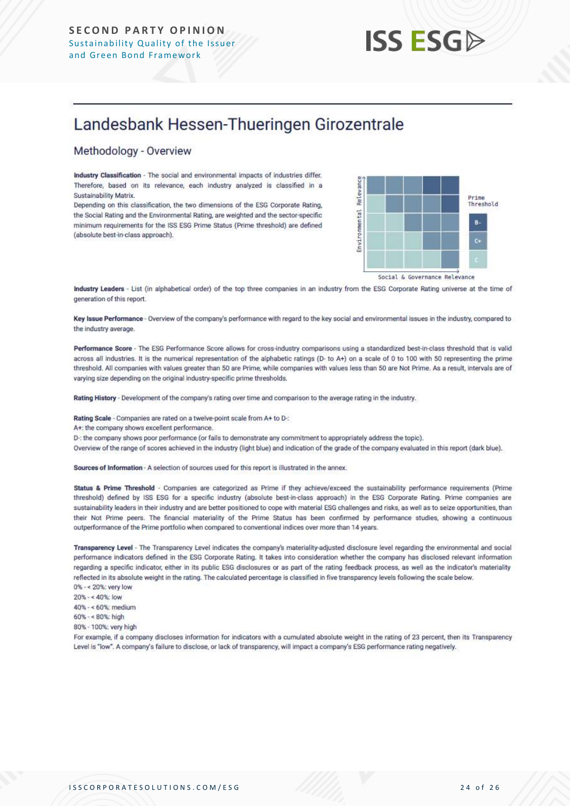## Landesbank Hessen-Thueringen Girozentrale

#### Methodology - Overview

Industry Classification - The social and environmental impacts of industries differ. Therefore, based on its relevance, each industry analyzed is classified in a Sustainability Matrix.

Depending on this classification, the two dimensions of the ESG Corporate Rating, the Social Rating and the Environmental Rating, are weighted and the sector-specific minimum requirements for the ISS ESG Prime Status (Prime threshold) are defined (absolute best-in-class approach).



Industry Leaders - List (in alphabetical order) of the top three companies in an industry from the ESG Corporate Rating universe at the time of generation of this report.

Key Issue Performance - Overview of the company's performance with regard to the key social and environmental issues in the industry, compared to the industry average.

Performance Score - The ESG Performance Score allows for cross-industry comparisons using a standardized best-in-class threshold that is valid across all industries. It is the numerical representation of the alphabetic ratings (D- to A+) on a scale of 0 to 100 with 50 representing the prime threshold. All companies with values greater than 50 are Prime, while companies with values less than 50 are Not Prime. As a result, intervals are of varying size depending on the original industry-specific prime thresholds.

Rating History - Development of the company's rating over time and comparison to the average rating in the industry.

Rating Scale - Companies are rated on a twelve-point scale from A+ to D-:

A+: the company shows excellent performance.

D-: the company shows poor performance (or fails to demonstrate any commitment to appropriately address the topic).

Overview of the range of scores achieved in the industry (light blue) and indication of the grade of the company evaluated in this report (dark blue).

Sources of Information - A selection of sources used for this report is illustrated in the annex.

Status & Prime Threshold - Companies are categorized as Prime if they achieve/exceed the sustainability performance requirements (Prime threshold) defined by ISS ESG for a specific industry (absolute best-in-class approach) in the ESG Corporate Rating. Prime companies are sustainability leaders in their industry and are better positioned to cope with material ESG challenges and risks, as well as to seize opportunities, than their Not Prime peers. The financial materiality of the Prime Status has been confirmed by performance studies, showing a continuous outperformance of the Prime portfolio when compared to conventional indices over more than 14 years.

Transparency Level - The Transparency Level indicates the company's materiality-adjusted disclosure level regarding the environmental and social performance indicators defined in the ESG Corporate Rating. It takes into consideration whether the company has disclosed relevant information regarding a specific indicator, either in its public ESG disclosures or as part of the rating feedback process, as well as the indicator's materiality reflected in its absolute weight in the rating. The calculated percentage is classified in five transparency levels following the scale below. 0% - < 20%: very low

20% - < 40%: low 40% - < 60%: medium  $60\% - 80\%$ ; high 80% - 100%; very high

For example, if a company discloses information for indicators with a cumulated absolute weight in the rating of 23 percent, then its Transparency Level is "low". A company's failure to disclose, or lack of transparency, will impact a company's ESG performance rating negatively.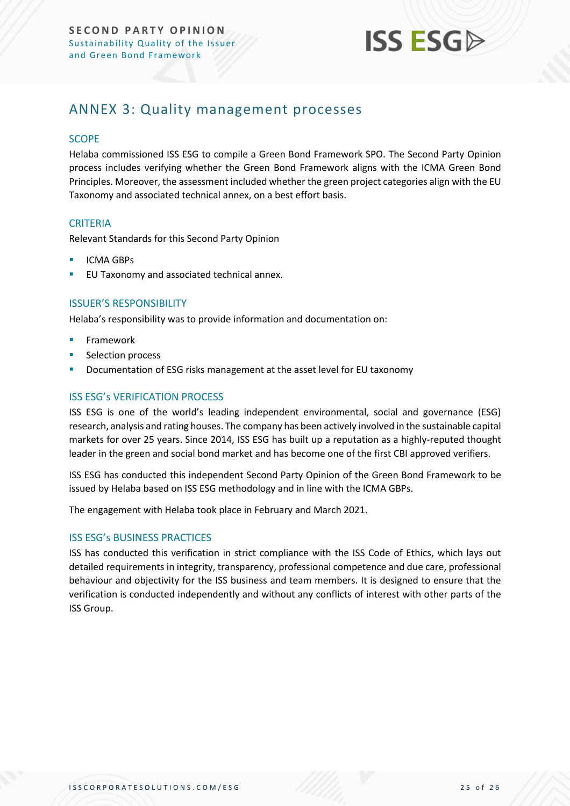

### <span id="page-24-0"></span>ANNEX 3: Quality management processes

#### **SCOPE**

Helaba commissioned ISS ESG to compile a Green Bond Framework SPO. The Second Party Opinion process includes verifying whether the Green Bond Framework aligns with the ICMA Green Bond Principles. Moreover, the assessment included whether the green project categories align with the EU Taxonomy and associated technical annex, on a best effort basis.

#### **CRITERIA**

Relevant Standards for this Second Party Opinion

- **ICMA GBPs**
- EU Taxonomy and associated technical annex.

#### ISSUER'S RESPONSIBILITY

Helaba's responsibility was to provide information and documentation on:

- **Framework**
- Selection process
- Documentation of ESG risks management at the asset level for EU taxonomy

#### ISS ESG's VERIFICATION PROCESS

ISS ESG is one of the world's leading independent environmental, social and governance (ESG) research, analysis and rating houses. The company has been actively involved in the sustainable capital markets for over 25 years. Since 2014, ISS ESG has built up a reputation as a highly-reputed thought leader in the green and social bond market and has become one of the first CBI approved verifiers.

ISS ESG has conducted this independent Second Party Opinion of the Green Bond Framework to be issued by Helaba based on ISS ESG methodology and in line with the ICMA GBPs.

The engagement with Helaba took place in February and March 2021.

#### ISS ESG's BUSINESS PRACTICES

ISS has conducted this verification in strict compliance with the ISS Code of Ethics, which lays out detailed requirements in integrity, transparency, professional competence and due care, professional behaviour and objectivity for the ISS business and team members. It is designed to ensure that the verification is conducted independently and without any conflicts of interest with other parts of the ISS Group.